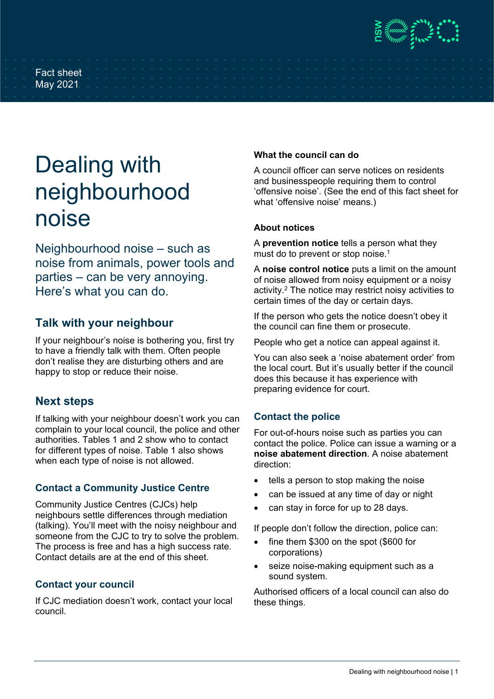### Fact sheet May 2021

# Dealing with neighbourhood noise

Neighbourhood noise – such as noise from animals, power tools and parties – can be very annoying. Here's what you can do.

## **Talk with your neighbour**

If your neighbour's noise is bothering you, first try to have a friendly talk with them. Often people don't realise they are disturbing others and are happy to stop or reduce their noise.

## **Next steps**

If talking with your neighbour doesn't work you can complain to your local council, the police and other authorities. Tables 1 and 2 show who to contact for different types of noise. Table 1 also shows when each type of noise is not allowed.

## **Contact a Community Justice Centre**

Community Justice Centres (CJCs) help neighbours settle differences through mediation (talking). You'll meet with the noisy neighbour and someone from the CJC to try to solve the problem. The process is free and has a high success rate. Contact details are at the end of this sheet.

## **Contact your council**

If CJC mediation doesn't work, contact your local council.

## **What the council can do**

A council officer can serve notices on residents and businesspeople requiring them to control 'offensive noise'. (See the end of this fact sheet for what 'offensive noise' means.)

## **About notices**

A **prevention notice** tells a person what they must do to prevent or stop noise.<sup>1</sup>

A **noise control notice** puts a limit on the amount of noise allowed from noisy equipment or a noisy activity.2 The notice may restrict noisy activities to certain times of the day or certain days.

If the person who gets the notice doesn't obey it the council can fine them or prosecute.

People who get a notice can appeal against it.

You can also seek a 'noise abatement order' from the local court. But it's usually better if the council does this because it has experience with preparing evidence for court.

## **Contact the police**

For out-of-hours noise such as parties you can contact the police. Police can issue a warning or a **noise abatement direction**. A noise abatement direction:

- tells a person to stop making the noise
- can be issued at any time of day or night
- can stay in force for up to 28 days.

If people don't follow the direction, police can:

- fine them \$300 on the spot (\$600 for corporations)
- seize noise-making equipment such as a sound system.

Authorised officers of a local council can also do these things.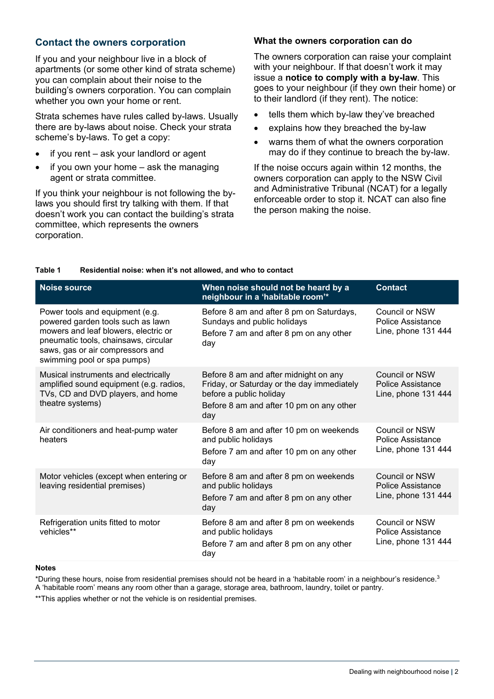### **Contact the owners corporation**

If you and your neighbour live in a block of apartments (or some other kind of strata scheme) you can complain about their noise to the building's owners corporation. You can complain whether you own your home or rent.

Strata schemes have rules called by-laws. Usually there are by-laws about noise. Check your strata scheme's by-laws. To get a copy:

- if you rent ask your landlord or agent
- if you own your home  $-$  ask the managing agent or strata committee.

If you think your neighbour is not following the bylaws you should first try talking with them. If that doesn't work you can contact the building's strata committee, which represents the owners corporation.

#### **What the owners corporation can do**

The owners corporation can raise your complaint with your neighbour. If that doesn't work it may issue a **notice to comply with a by-law**. This goes to your neighbour (if they own their home) or to their landlord (if they rent). The notice:

- tells them which by-law they've breached
- explains how they breached the by-law
- warns them of what the owners corporation may do if they continue to breach the by-law.

If the noise occurs again within 12 months, the owners corporation can apply to the NSW Civil and Administrative Tribunal (NCAT) for a legally enforceable order to stop it. NCAT can also fine the person making the noise.

| Noise source                                                                                                                                                                                                            | When noise should not be heard by a<br>neighbour in a 'habitable room'*                                                                                           | <b>Contact</b>                                                    |
|-------------------------------------------------------------------------------------------------------------------------------------------------------------------------------------------------------------------------|-------------------------------------------------------------------------------------------------------------------------------------------------------------------|-------------------------------------------------------------------|
| Power tools and equipment (e.g.<br>powered garden tools such as lawn<br>mowers and leaf blowers, electric or<br>pneumatic tools, chainsaws, circular<br>saws, gas or air compressors and<br>swimming pool or spa pumps) | Before 8 am and after 8 pm on Saturdays,<br>Sundays and public holidays<br>Before 7 am and after 8 pm on any other<br>day                                         | Council or NSW<br>Police Assistance<br>Line, phone 131 444        |
| Musical instruments and electrically<br>amplified sound equipment (e.g. radios,<br>TVs, CD and DVD players, and home<br>theatre systems)                                                                                | Before 8 am and after midnight on any<br>Friday, or Saturday or the day immediately<br>before a public holiday<br>Before 8 am and after 10 pm on any other<br>day | Council or NSW<br><b>Police Assistance</b><br>Line, phone 131 444 |
| Air conditioners and heat-pump water<br>heaters                                                                                                                                                                         | Before 8 am and after 10 pm on weekends<br>and public holidays<br>Before 7 am and after 10 pm on any other<br>day                                                 | Council or NSW<br>Police Assistance<br>Line, phone 131 444        |
| Motor vehicles (except when entering or<br>leaving residential premises)                                                                                                                                                | Before 8 am and after 8 pm on weekends<br>and public holidays<br>Before 7 am and after 8 pm on any other<br>day                                                   | Council or NSW<br>Police Assistance<br>Line, phone 131 444        |
| Refrigeration units fitted to motor<br>vehicles**                                                                                                                                                                       | Before 8 am and after 8 pm on weekends<br>and public holidays<br>Before 7 am and after 8 pm on any other<br>day                                                   | Council or NSW<br>Police Assistance<br>Line, phone 131 444        |

#### **Table 1 Residential noise: when it's not allowed, and who to contact**

#### **Notes**

\*During these hours, noise from residential premises should not be heard in a 'habitable room' in a neighbour's residence.3

A 'habitable room' means any room other than a garage, storage area, bathroom, laundry, toilet or pantry.

\*\*This applies whether or not the vehicle is on residential premises.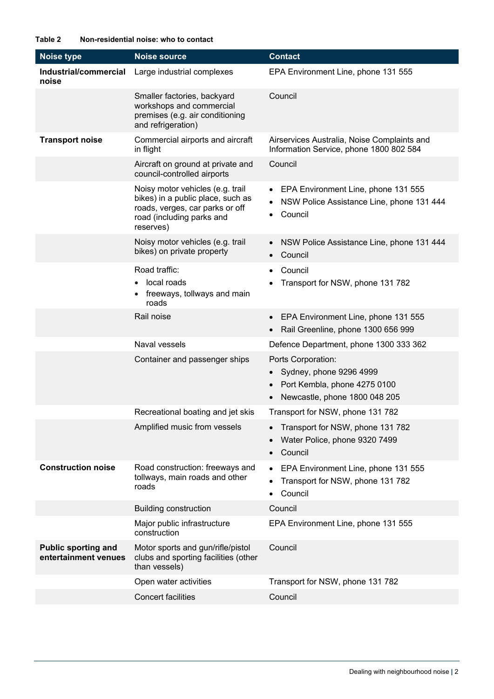| <b>Noise type</b>                                  | <b>Noise source</b>                                                                                                                                | <b>Contact</b>                                                                                                                           |
|----------------------------------------------------|----------------------------------------------------------------------------------------------------------------------------------------------------|------------------------------------------------------------------------------------------------------------------------------------------|
| Industrial/commercial<br>noise                     | Large industrial complexes                                                                                                                         | EPA Environment Line, phone 131 555                                                                                                      |
|                                                    | Smaller factories, backyard<br>workshops and commercial<br>premises (e.g. air conditioning<br>and refrigeration)                                   | Council                                                                                                                                  |
| <b>Transport noise</b>                             | Commercial airports and aircraft<br>in flight                                                                                                      | Airservices Australia, Noise Complaints and<br>Information Service, phone 1800 802 584                                                   |
|                                                    | Aircraft on ground at private and<br>council-controlled airports                                                                                   | Council                                                                                                                                  |
|                                                    | Noisy motor vehicles (e.g. trail<br>bikes) in a public place, such as<br>roads, verges, car parks or off<br>road (including parks and<br>reserves) | EPA Environment Line, phone 131 555<br>$\bullet$<br>NSW Police Assistance Line, phone 131 444<br>Council                                 |
|                                                    | Noisy motor vehicles (e.g. trail<br>bikes) on private property                                                                                     | NSW Police Assistance Line, phone 131 444<br>Council<br>$\bullet$                                                                        |
|                                                    | Road traffic:<br>local roads<br>freeways, tollways and main<br>roads                                                                               | Council<br>$\bullet$<br>Transport for NSW, phone 131 782                                                                                 |
|                                                    | Rail noise                                                                                                                                         | EPA Environment Line, phone 131 555<br>$\bullet$<br>Rail Greenline, phone 1300 656 999                                                   |
|                                                    | Naval vessels                                                                                                                                      | Defence Department, phone 1300 333 362                                                                                                   |
|                                                    | Container and passenger ships                                                                                                                      | Ports Corporation:<br>Sydney, phone 9296 4999<br>Port Kembla, phone 4275 0100<br>$\bullet$<br>Newcastle, phone 1800 048 205<br>$\bullet$ |
|                                                    | Recreational boating and jet skis                                                                                                                  | Transport for NSW, phone 131 782                                                                                                         |
|                                                    | Amplified music from vessels                                                                                                                       | Transport for NSW, phone 131 782<br>$\bullet$<br>Water Police, phone 9320 7499<br>Council                                                |
| <b>Construction noise</b>                          | Road construction: freeways and<br>tollways, main roads and other<br>roads                                                                         | EPA Environment Line, phone 131 555<br>$\bullet$<br>Transport for NSW, phone 131 782<br>Council<br>$\bullet$                             |
|                                                    | <b>Building construction</b>                                                                                                                       | Council                                                                                                                                  |
|                                                    | Major public infrastructure<br>construction                                                                                                        | EPA Environment Line, phone 131 555                                                                                                      |
| <b>Public sporting and</b><br>entertainment venues | Motor sports and gun/rifle/pistol<br>clubs and sporting facilities (other<br>than vessels)                                                         | Council                                                                                                                                  |
|                                                    | Open water activities                                                                                                                              | Transport for NSW, phone 131 782                                                                                                         |
|                                                    | <b>Concert facilities</b>                                                                                                                          | Council                                                                                                                                  |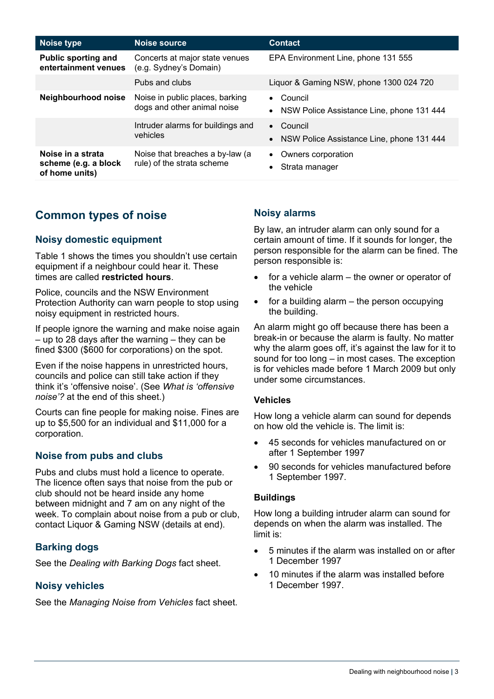| Noise type                                                  | Noise source                                                   | <b>Contact</b>                                         |
|-------------------------------------------------------------|----------------------------------------------------------------|--------------------------------------------------------|
| <b>Public sporting and</b><br>entertainment venues          | Concerts at major state venues<br>(e.g. Sydney's Domain)       | EPA Environment Line, phone 131 555                    |
|                                                             | Pubs and clubs                                                 | Liquor & Gaming NSW, phone 1300 024 720                |
| Neighbourhood noise                                         | Noise in public places, barking<br>dogs and other animal noise | Council<br>NSW Police Assistance Line, phone 131 444   |
|                                                             | Intruder alarms for buildings and<br>vehicles                  | • Council<br>NSW Police Assistance Line, phone 131 444 |
| Noise in a strata<br>scheme (e.g. a block<br>of home units) | Noise that breaches a by-law (a<br>rule) of the strata scheme  | Owners corporation<br>$\bullet$<br>Strata manager      |

## **Common types of noise**

## **Noisy domestic equipment**

Table 1 shows the times you shouldn't use certain equipment if a neighbour could hear it. These times are called **restricted hours**.

Police, councils and the NSW Environment Protection Authority can warn people to stop using noisy equipment in restricted hours.

If people ignore the warning and make noise again – up to 28 days after the warning – they can be fined \$300 (\$600 for corporations) on the spot.

Even if the noise happens in unrestricted hours, councils and police can still take action if they think it's 'offensive noise'. (See *What is 'offensive noise'?* at the end of this sheet.)

Courts can fine people for making noise. Fines are up to \$5,500 for an individual and \$11,000 for a corporation.

## **Noise from pubs and clubs**

Pubs and clubs must hold a licence to operate. The licence often says that noise from the pub or club should not be heard inside any home between midnight and 7 am on any night of the week. To complain about noise from a pub or club, contact Liquor & Gaming NSW (details at end).

## **Barking dogs**

See the *Dealing with Barking Dogs* fact sheet.

## **Noisy vehicles**

See the *Managing Noise from Vehicles* fact sheet.

## **Noisy alarms**

By law, an intruder alarm can only sound for a certain amount of time. If it sounds for longer, the person responsible for the alarm can be fined. The person responsible is:

- for a vehicle alarm  $-$  the owner or operator of the vehicle
- for a building alarm  $-$  the person occupying the building.

An alarm might go off because there has been a break-in or because the alarm is faulty. No matter why the alarm goes off, it's against the law for it to sound for too long – in most cases. The exception is for vehicles made before 1 March 2009 but only under some circumstances.

#### **Vehicles**

How long a vehicle alarm can sound for depends on how old the vehicle is. The limit is:

- 45 seconds for vehicles manufactured on or after 1 September 1997
- 90 seconds for vehicles manufactured before 1 September 1997.

#### **Buildings**

How long a building intruder alarm can sound for depends on when the alarm was installed. The limit is:

- 5 minutes if the alarm was installed on or after 1 December 1997
- 10 minutes if the alarm was installed before 1 December 1997.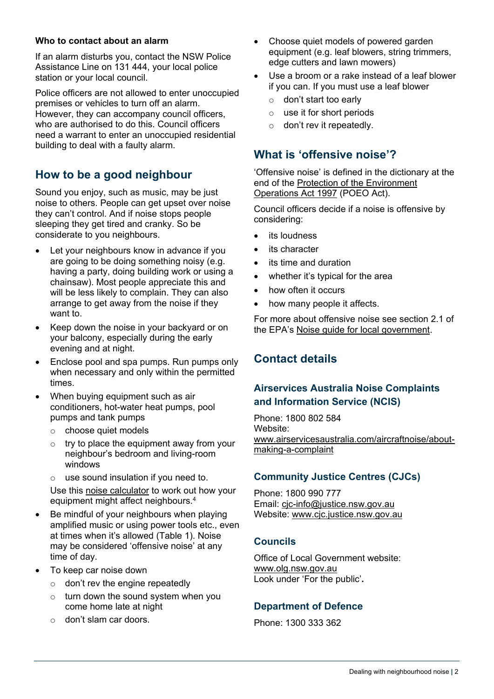#### **Who to contact about an alarm**

If an alarm disturbs you, contact the NSW Police Assistance Line on 131 444, your local police station or your local council.

Police officers are not allowed to enter unoccupied premises or vehicles to turn off an alarm. However, they can accompany council officers, who are authorised to do this. Council officers need a warrant to enter an unoccupied residential building to deal with a faulty alarm.

## **How to be a good neighbour**

Sound you enjoy, such as music, may be just noise to others. People can get upset over noise they can't control. And if noise stops people sleeping they get tired and cranky. So be considerate to you neighbours.

- Let your neighbours know in advance if you are going to be doing something noisy (e.g. having a party, doing building work or using a chainsaw). Most people appreciate this and will be less likely to complain. They can also arrange to get away from the noise if they want to.
- Keep down the noise in your backyard or on your balcony, especially during the early evening and at night.
- Enclose pool and spa pumps. Run pumps only when necessary and only within the permitted times.
- When buying equipment such as air conditioners, hot-water heat pumps, pool pumps and tank pumps
	- o choose quiet models
	- $\circ$  try to place the equipment away from your neighbour's bedroom and living-room windows
	- $\circ$  use sound insulation if you need to.

Use this [noise calculator](https://www.fairair.com.au/) to work out how your equipment might affect neighbours.4

- Be mindful of your neighbours when playing amplified music or using power tools etc., even at times when it's allowed (Table 1). Noise may be considered 'offensive noise' at any time of day.
- To keep car noise down
	- $\circ$  don't rev the engine repeatedly
	- $\circ$  turn down the sound system when you come home late at night
	- o don't slam car doors.
- Choose quiet models of powered garden equipment (e.g. leaf blowers, string trimmers, edge cutters and lawn mowers)
- Use a broom or a rake instead of a leaf blower if you can. If you must use a leaf blower
	- o don't start too early
	- o use it for short periods
	- $\circ$  don't rev it repeatedly.

## **What is 'offensive noise'?**

'Offensive noise' is defined in the dictionary at the end of the [Protection of the Environment](https://www.legislation.nsw.gov.au/view/html/inforce/current/act-1997-156)  [Operations Act 1997](https://www.legislation.nsw.gov.au/view/html/inforce/current/act-1997-156) (POEO Act).

Council officers decide if a noise is offensive by considering:

- its loudness
- its character
- its time and duration
- whether it's typical for the area
- how often it occurs
- how many people it affects.

For more about offensive noise see section 2.1 of the EPA's [Noise guide for local government.](https://www.epa.nsw.gov.au/publications/noise/130127nglg)

## **Contact details**

## **Airservices Australia Noise Complaints and Information Service (NCIS)**

Phone: 1800 802 584 Website: [www.airservicesaustralia.com/aircraftnoise/about](http://www.airservicesaustralia.com/aircraftnoise/about-making-a-complaint)[making-a-complaint](http://www.airservicesaustralia.com/aircraftnoise/about-making-a-complaint)

## **Community Justice Centres (CJCs)**

Phone: 1800 990 777 Email: [cjc-info@justice.nsw.gov.au](mailto:cjc-info@justice.nsw.gov.au) Website: www.cjc.justice.nsw.gov.au

## **Councils**

Office of Local Government website: www.olg.nsw.gov.au Look under 'For the public'**.**

## **Department of Defence**

Phone: 1300 333 362